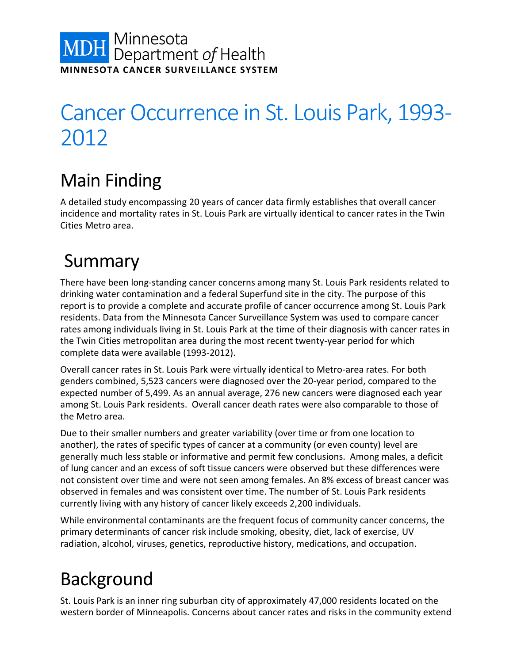# **MDH** Minnesota<br>Department of Health **MINNESOTA CANCER SURVEILLANCE SYSTEM**

# Cancer Occurrence in St. Louis Park, 1993- 2012

# Main Finding

A detailed study encompassing 20 years of cancer data firmly establishes that overall cancer incidence and mortality rates in St. Louis Park are virtually identical to cancer rates in the Twin Cities Metro area.

# Summary

There have been long-standing cancer concerns among many St. Louis Park residents related to drinking water contamination and a federal Superfund site in the city. The purpose of this report is to provide a complete and accurate profile of cancer occurrence among St. Louis Park residents. Data from the Minnesota Cancer Surveillance System was used to compare cancer rates among individuals living in St. Louis Park at the time of their diagnosis with cancer rates in the Twin Cities metropolitan area during the most recent twenty-year period for which complete data were available (1993-2012).

Overall cancer rates in St. Louis Park were virtually identical to Metro-area rates. For both genders combined, 5,523 cancers were diagnosed over the 20-year period, compared to the expected number of 5,499. As an annual average, 276 new cancers were diagnosed each year among St. Louis Park residents. Overall cancer death rates were also comparable to those of the Metro area.

Due to their smaller numbers and greater variability (over time or from one location to another), the rates of specific types of cancer at a community (or even county) level are generally much less stable or informative and permit few conclusions. Among males, a deficit of lung cancer and an excess of soft tissue cancers were observed but these differences were not consistent over time and were not seen among females. An 8% excess of breast cancer was observed in females and was consistent over time. The number of St. Louis Park residents currently living with any history of cancer likely exceeds 2,200 individuals.

While environmental contaminants are the frequent focus of community cancer concerns, the primary determinants of cancer risk include smoking, obesity, diet, lack of exercise, UV radiation, alcohol, viruses, genetics, reproductive history, medications, and occupation.

# Background

St. Louis Park is an inner ring suburban city of approximately 47,000 residents located on the western border of Minneapolis. Concerns about cancer rates and risks in the community extend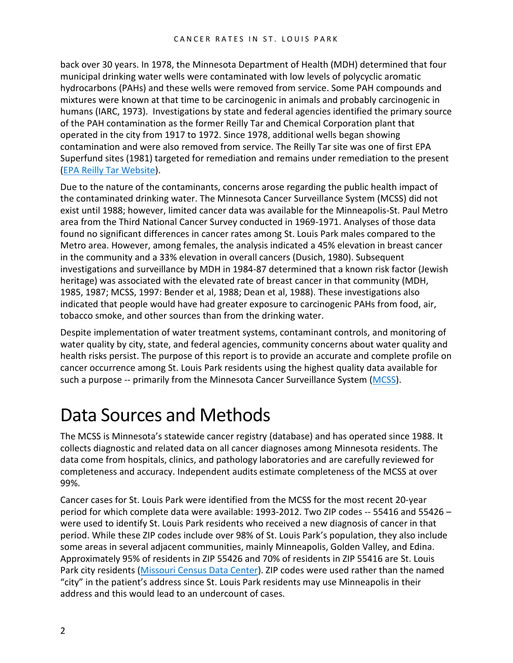back over 30 years. In 1978, the Minnesota Department of Health (MDH) determined that four municipal drinking water wells were contaminated with low levels of polycyclic aromatic hydrocarbons (PAHs) and these wells were removed from service. Some PAH compounds and mixtures were known at that time to be carcinogenic in animals and probably carcinogenic in humans (IARC, 1973). Investigations by state and federal agencies identified the primary source of the PAH contamination as the former Reilly Tar and Chemical Corporation plant that operated in the city from 1917 to 1972. Since 1978, additional wells began showing contamination and were also removed from service. The Reilly Tar site was one of first EPA Superfund sites (1981) targeted for remediation and remains under remediation to the present [\(EPA Reilly Tar Website\)](http://www3.epa.gov/region5/cleanup/reillytarmn/).

Due to the nature of the contaminants, concerns arose regarding the public health impact of the contaminated drinking water. The Minnesota Cancer Surveillance System (MCSS) did not exist until 1988; however, limited cancer data was available for the Minneapolis-St. Paul Metro area from the Third National Cancer Survey conducted in 1969-1971. Analyses of those data found no significant differences in cancer rates among St. Louis Park males compared to the Metro area. However, among females, the analysis indicated a 45% elevation in breast cancer in the community and a 33% elevation in overall cancers (Dusich, 1980). Subsequent investigations and surveillance by MDH in 1984-87 determined that a known risk factor (Jewish heritage) was associated with the elevated rate of breast cancer in that community (MDH, 1985, 1987; MCSS, 1997: Bender et al, 1988; Dean et al, 1988). These investigations also indicated that people would have had greater exposure to carcinogenic PAHs from food, air, tobacco smoke, and other sources than from the drinking water.

Despite implementation of water treatment systems, contaminant controls, and monitoring of water quality by city, state, and federal agencies, community concerns about water quality and health risks persist. The purpose of this report is to provide an accurate and complete profile on cancer occurrence among St. Louis Park residents using the highest quality data available for such a purpose -- primarily from the Minnesota Cancer Surveillance System [\(MCSS\)](http://www.health.state.mn.us/divs/hpcd/cdee/mcss/index.html).

## Data Sources and Methods

The MCSS is Minnesota's statewide cancer registry (database) and has operated since 1988. It collects diagnostic and related data on all cancer diagnoses among Minnesota residents. The data come from hospitals, clinics, and pathology laboratories and are carefully reviewed for completeness and accuracy. Independent audits estimate completeness of the MCSS at over 99%.

Cancer cases for St. Louis Park were identified from the MCSS for the most recent 20-year period for which complete data were available: 1993-2012. Two ZIP codes -- 55416 and 55426 – were used to identify St. Louis Park residents who received a new diagnosis of cancer in that period. While these ZIP codes include over 98% of St. Louis Park's population, they also include some areas in several adjacent communities, mainly Minneapolis, Golden Valley, and Edina. Approximately 95% of residents in ZIP 55426 and 70% of residents in ZIP 55416 are St. Louis Park city residents [\(Missouri Census Data Center\)](http://mcdc.missouri.edu/websas/geocorr12.html). ZIP codes were used rather than the named "city" in the patient's address since St. Louis Park residents may use Minneapolis in their address and this would lead to an undercount of cases.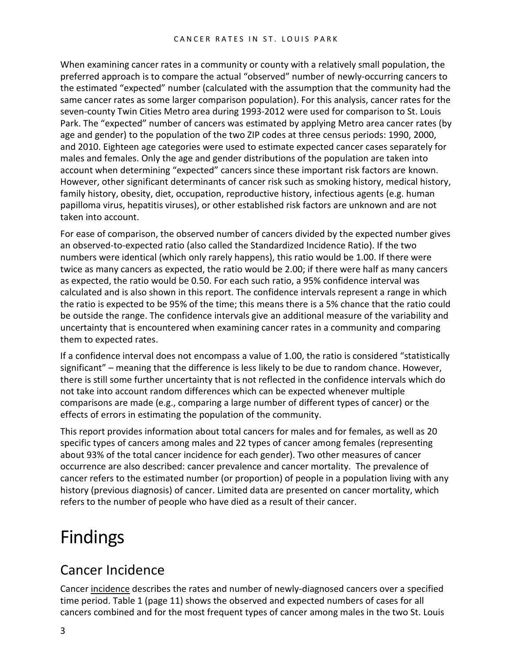When examining cancer rates in a community or county with a relatively small population, the preferred approach is to compare the actual "observed" number of newly-occurring cancers to the estimated "expected" number (calculated with the assumption that the community had the same cancer rates as some larger comparison population). For this analysis, cancer rates for the seven-county Twin Cities Metro area during 1993-2012 were used for comparison to St. Louis Park. The "expected" number of cancers was estimated by applying Metro area cancer rates (by age and gender) to the population of the two ZIP codes at three census periods: 1990, 2000, and 2010. Eighteen age categories were used to estimate expected cancer cases separately for males and females. Only the age and gender distributions of the population are taken into account when determining "expected" cancers since these important risk factors are known. However, other significant determinants of cancer risk such as smoking history, medical history, family history, obesity, diet, occupation, reproductive history, infectious agents (e.g. human papilloma virus, hepatitis viruses), or other established risk factors are unknown and are not taken into account.

For ease of comparison, the observed number of cancers divided by the expected number gives an observed-to-expected ratio (also called the Standardized Incidence Ratio). If the two numbers were identical (which only rarely happens), this ratio would be 1.00. If there were twice as many cancers as expected, the ratio would be 2.00; if there were half as many cancers as expected, the ratio would be 0.50. For each such ratio, a 95% confidence interval was calculated and is also shown in this report. The confidence intervals represent a range in which the ratio is expected to be 95% of the time; this means there is a 5% chance that the ratio could be outside the range. The confidence intervals give an additional measure of the variability and uncertainty that is encountered when examining cancer rates in a community and comparing them to expected rates.

If a confidence interval does not encompass a value of 1.00, the ratio is considered "statistically significant" – meaning that the difference is less likely to be due to random chance. However, there is still some further uncertainty that is not reflected in the confidence intervals which do not take into account random differences which can be expected whenever multiple comparisons are made (e.g., comparing a large number of different types of cancer) or the effects of errors in estimating the population of the community.

This report provides information about total cancers for males and for females, as well as 20 specific types of cancers among males and 22 types of cancer among females (representing about 93% of the total cancer incidence for each gender). Two other measures of cancer occurrence are also described: cancer prevalence and cancer mortality. The prevalence of cancer refers to the estimated number (or proportion) of people in a population living with any history (previous diagnosis) of cancer. Limited data are presented on cancer mortality, which refers to the number of people who have died as a result of their cancer.

## Findings

### Cancer Incidence

Cancer incidence describes the rates and number of newly-diagnosed cancers over a specified time period. Table 1 (page 11) shows the observed and expected numbers of cases for all cancers combined and for the most frequent types of cancer among males in the two St. Louis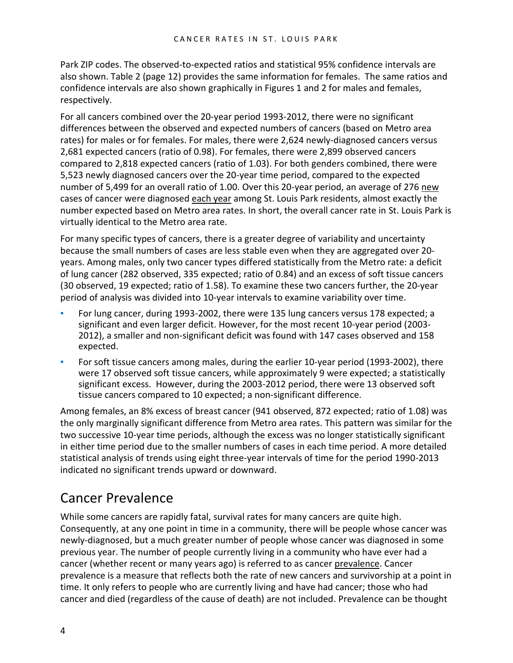Park ZIP codes. The observed-to-expected ratios and statistical 95% confidence intervals are also shown. Table 2 (page 12) provides the same information for females. The same ratios and confidence intervals are also shown graphically in Figures 1 and 2 for males and females, respectively.

For all cancers combined over the 20-year period 1993-2012, there were no significant differences between the observed and expected numbers of cancers (based on Metro area rates) for males or for females. For males, there were 2,624 newly-diagnosed cancers versus 2,681 expected cancers (ratio of 0.98). For females, there were 2,899 observed cancers compared to 2,818 expected cancers (ratio of 1.03). For both genders combined, there were 5,523 newly diagnosed cancers over the 20-year time period, compared to the expected number of 5,499 for an overall ratio of 1.00. Over this 20-year period, an average of 276 new cases of cancer were diagnosed each year among St. Louis Park residents, almost exactly the number expected based on Metro area rates. In short, the overall cancer rate in St. Louis Park is virtually identical to the Metro area rate.

For many specific types of cancers, there is a greater degree of variability and uncertainty because the small numbers of cases are less stable even when they are aggregated over 20 years. Among males, only two cancer types differed statistically from the Metro rate: a deficit of lung cancer (282 observed, 335 expected; ratio of 0.84) and an excess of soft tissue cancers (30 observed, 19 expected; ratio of 1.58). To examine these two cancers further, the 20-year period of analysis was divided into 10-year intervals to examine variability over time.

- For lung cancer, during 1993-2002, there were 135 lung cancers versus 178 expected; a significant and even larger deficit. However, for the most recent 10-year period (2003- 2012), a smaller and non-significant deficit was found with 147 cases observed and 158 expected.
- For soft tissue cancers among males, during the earlier 10-year period (1993-2002), there were 17 observed soft tissue cancers, while approximately 9 were expected; a statistically significant excess. However, during the 2003-2012 period, there were 13 observed soft tissue cancers compared to 10 expected; a non-significant difference.

Among females, an 8% excess of breast cancer (941 observed, 872 expected; ratio of 1.08) was the only marginally significant difference from Metro area rates. This pattern was similar for the two successive 10-year time periods, although the excess was no longer statistically significant in either time period due to the smaller numbers of cases in each time period. A more detailed statistical analysis of trends using eight three-year intervals of time for the period 1990-2013 indicated no significant trends upward or downward.

### Cancer Prevalence

While some cancers are rapidly fatal, survival rates for many cancers are quite high. Consequently, at any one point in time in a community, there will be people whose cancer was newly-diagnosed, but a much greater number of people whose cancer was diagnosed in some previous year. The number of people currently living in a community who have ever had a cancer (whether recent or many years ago) is referred to as cancer prevalence. Cancer prevalence is a measure that reflects both the rate of new cancers and survivorship at a point in time. It only refers to people who are currently living and have had cancer; those who had cancer and died (regardless of the cause of death) are not included. Prevalence can be thought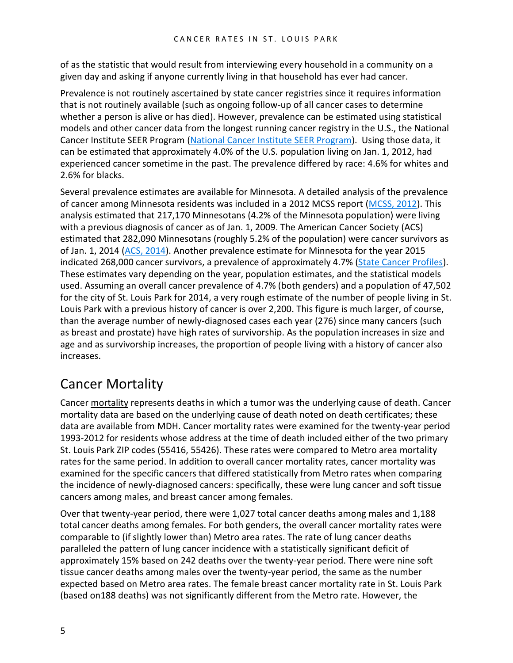of as the statistic that would result from interviewing every household in a community on a given day and asking if anyone currently living in that household has ever had cancer.

Prevalence is not routinely ascertained by state cancer registries since it requires information that is not routinely available (such as ongoing follow-up of all cancer cases to determine whether a person is alive or has died). However, prevalence can be estimated using statistical models and other cancer data from the longest running cancer registry in the U.S., the National Cancer Institute SEER Program [\(National Cancer Institute SEER Program\)](http://surveillance.cancer.gov/prevalence/). Using those data, it can be estimated that approximately 4.0% of the U.S. population living on Jan. 1, 2012, had experienced cancer sometime in the past. The prevalence differed by race: 4.6% for whites and 2.6% for blacks.

Several prevalence estimates are available for Minnesota. A detailed analysis of the prevalence of cancer among Minnesota residents was included in a 2012 MCSS report [\(MCSS, 2012\)](http://www.health.state.mn.us/divs/hpcd/cdee/mcss/statistics.html). This analysis estimated that 217,170 Minnesotans (4.2% of the Minnesota population) were living with a previous diagnosis of cancer as of Jan. 1, 2009. The American Cancer Society (ACS) estimated that 282,090 Minnesotans (roughly 5.2% of the population) were cancer survivors as of Jan. 1, 2014 [\(ACS, 2014\)](http://www.cancer.org/acs/groups/content/@research/documents/document/acspc-042801.pdf). Another prevalence estimate for Minnesota for the year 2015 indicated 268,000 cancer survivors, a prevalence of approximately 4.7% [\(State Cancer Profiles\)](http://statecancerprofiles.cancer.gov/index.html). These estimates vary depending on the year, population estimates, and the statistical models used. Assuming an overall cancer prevalence of 4.7% (both genders) and a population of 47,502 for the city of St. Louis Park for 2014, a very rough estimate of the number of people living in St. Louis Park with a previous history of cancer is over 2,200. This figure is much larger, of course, than the average number of newly-diagnosed cases each year (276) since many cancers (such as breast and prostate) have high rates of survivorship. As the population increases in size and age and as survivorship increases, the proportion of people living with a history of cancer also increases.

### Cancer Mortality

Cancer mortality represents deaths in which a tumor was the underlying cause of death. Cancer mortality data are based on the underlying cause of death noted on death certificates; these data are available from MDH. Cancer mortality rates were examined for the twenty-year period 1993-2012 for residents whose address at the time of death included either of the two primary St. Louis Park ZIP codes (55416, 55426). These rates were compared to Metro area mortality rates for the same period. In addition to overall cancer mortality rates, cancer mortality was examined for the specific cancers that differed statistically from Metro rates when comparing the incidence of newly-diagnosed cancers: specifically, these were lung cancer and soft tissue cancers among males, and breast cancer among females.

Over that twenty-year period, there were 1,027 total cancer deaths among males and 1,188 total cancer deaths among females. For both genders, the overall cancer mortality rates were comparable to (if slightly lower than) Metro area rates. The rate of lung cancer deaths paralleled the pattern of lung cancer incidence with a statistically significant deficit of approximately 15% based on 242 deaths over the twenty-year period. There were nine soft tissue cancer deaths among males over the twenty-year period, the same as the number expected based on Metro area rates. The female breast cancer mortality rate in St. Louis Park (based on188 deaths) was not significantly different from the Metro rate. However, the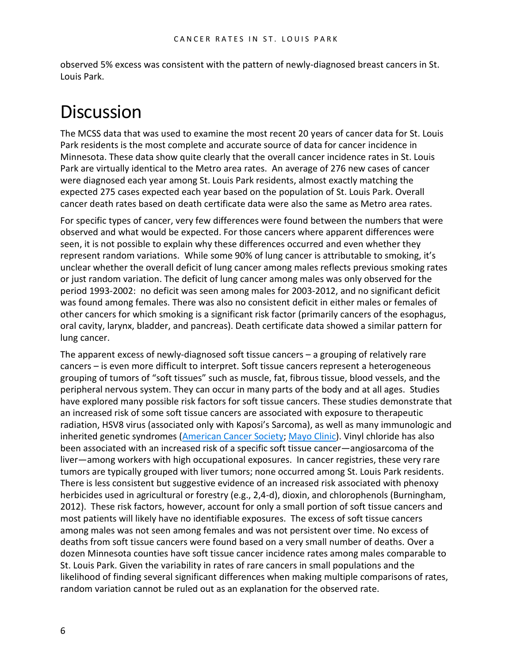observed 5% excess was consistent with the pattern of newly-diagnosed breast cancers in St. Louis Park.

# **Discussion**

The MCSS data that was used to examine the most recent 20 years of cancer data for St. Louis Park residents is the most complete and accurate source of data for cancer incidence in Minnesota. These data show quite clearly that the overall cancer incidence rates in St. Louis Park are virtually identical to the Metro area rates. An average of 276 new cases of cancer were diagnosed each year among St. Louis Park residents, almost exactly matching the expected 275 cases expected each year based on the population of St. Louis Park. Overall cancer death rates based on death certificate data were also the same as Metro area rates.

For specific types of cancer, very few differences were found between the numbers that were observed and what would be expected. For those cancers where apparent differences were seen, it is not possible to explain why these differences occurred and even whether they represent random variations. While some 90% of lung cancer is attributable to smoking, it's unclear whether the overall deficit of lung cancer among males reflects previous smoking rates or just random variation. The deficit of lung cancer among males was only observed for the period 1993-2002: no deficit was seen among males for 2003-2012, and no significant deficit was found among females. There was also no consistent deficit in either males or females of other cancers for which smoking is a significant risk factor (primarily cancers of the esophagus, oral cavity, larynx, bladder, and pancreas). Death certificate data showed a similar pattern for lung cancer.

The apparent excess of newly-diagnosed soft tissue cancers – a grouping of relatively rare cancers – is even more difficult to interpret. Soft tissue cancers represent a heterogeneous grouping of tumors of "soft tissues" such as muscle, fat, fibrous tissue, blood vessels, and the peripheral nervous system. They can occur in many parts of the body and at all ages. Studies have explored many possible risk factors for soft tissue cancers. These studies demonstrate that an increased risk of some soft tissue cancers are associated with exposure to therapeutic radiation, HSV8 virus (associated only with Kaposi's Sarcoma), as well as many immunologic and inherited genetic syndromes [\(American Cancer Society;](http://www.cancer.org/cancer/sarcoma-adultsofttissuecancer/detailedguide/sarcoma-adult-soft-tissue-cancer-risk-factors) [Mayo Clinic\)](http://www.mayoclinic.org/diseases-conditions/soft-tissue-sarcoma/basics/risk-factors/con-20033386). Vinyl chloride has also been associated with an increased risk of a specific soft tissue cancer—angiosarcoma of the liver—among workers with high occupational exposures. In cancer registries, these very rare tumors are typically grouped with liver tumors; none occurred among St. Louis Park residents. There is less consistent but suggestive evidence of an increased risk associated with phenoxy herbicides used in agricultural or forestry (e.g., 2,4-d), dioxin, and chlorophenols (Burningham, 2012). These risk factors, however, account for only a small portion of soft tissue cancers and most patients will likely have no identifiable exposures. The excess of soft tissue cancers among males was not seen among females and was not persistent over time. No excess of deaths from soft tissue cancers were found based on a very small number of deaths. Over a dozen Minnesota counties have soft tissue cancer incidence rates among males comparable to St. Louis Park. Given the variability in rates of rare cancers in small populations and the likelihood of finding several significant differences when making multiple comparisons of rates, random variation cannot be ruled out as an explanation for the observed rate.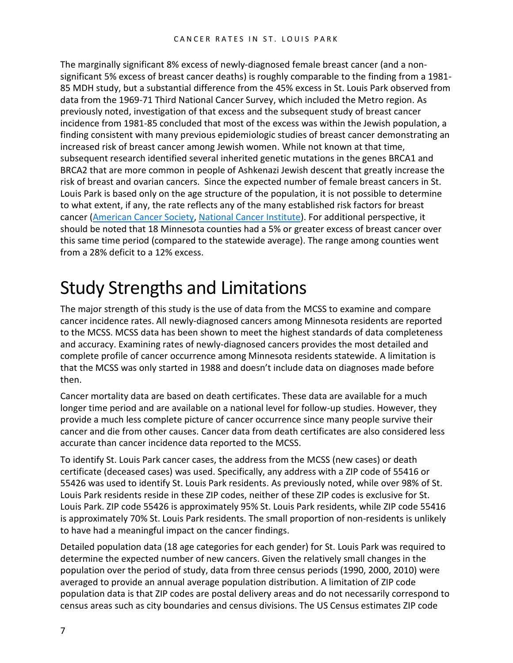The marginally significant 8% excess of newly-diagnosed female breast cancer (and a nonsignificant 5% excess of breast cancer deaths) is roughly comparable to the finding from a 1981- 85 MDH study, but a substantial difference from the 45% excess in St. Louis Park observed from data from the 1969-71 Third National Cancer Survey, which included the Metro region. As previously noted, investigation of that excess and the subsequent study of breast cancer incidence from 1981-85 concluded that most of the excess was within the Jewish population, a finding consistent with many previous epidemiologic studies of breast cancer demonstrating an increased risk of breast cancer among Jewish women. While not known at that time, subsequent research identified several inherited genetic mutations in the genes BRCA1 and BRCA2 that are more common in people of Ashkenazi Jewish descent that greatly increase the risk of breast and ovarian cancers. Since the expected number of female breast cancers in St. Louis Park is based only on the age structure of the population, it is not possible to determine to what extent, if any, the rate reflects any of the many established risk factors for breast cancer [\(American Cancer Society,](http://www.cancer.org/cancer/breastcancer/detailedguide/breast-cancer-risk-factors) [National Cancer Institute\)](http://www.cancer.gov/types/breast/risk-fact-sheet). For additional perspective, it should be noted that 18 Minnesota counties had a 5% or greater excess of breast cancer over this same time period (compared to the statewide average). The range among counties went from a 28% deficit to a 12% excess.

## Study Strengths and Limitations

The major strength of this study is the use of data from the MCSS to examine and compare cancer incidence rates. All newly-diagnosed cancers among Minnesota residents are reported to the MCSS. MCSS data has been shown to meet the highest standards of data completeness and accuracy. Examining rates of newly-diagnosed cancers provides the most detailed and complete profile of cancer occurrence among Minnesota residents statewide. A limitation is that the MCSS was only started in 1988 and doesn't include data on diagnoses made before then.

Cancer mortality data are based on death certificates. These data are available for a much longer time period and are available on a national level for follow-up studies. However, they provide a much less complete picture of cancer occurrence since many people survive their cancer and die from other causes. Cancer data from death certificates are also considered less accurate than cancer incidence data reported to the MCSS.

To identify St. Louis Park cancer cases, the address from the MCSS (new cases) or death certificate (deceased cases) was used. Specifically, any address with a ZIP code of 55416 or 55426 was used to identify St. Louis Park residents. As previously noted, while over 98% of St. Louis Park residents reside in these ZIP codes, neither of these ZIP codes is exclusive for St. Louis Park. ZIP code 55426 is approximately 95% St. Louis Park residents, while ZIP code 55416 is approximately 70% St. Louis Park residents. The small proportion of non-residents is unlikely to have had a meaningful impact on the cancer findings.

Detailed population data (18 age categories for each gender) for St. Louis Park was required to determine the expected number of new cancers. Given the relatively small changes in the population over the period of study, data from three census periods (1990, 2000, 2010) were averaged to provide an annual average population distribution. A limitation of ZIP code population data is that ZIP codes are postal delivery areas and do not necessarily correspond to census areas such as city boundaries and census divisions. The US Census estimates ZIP code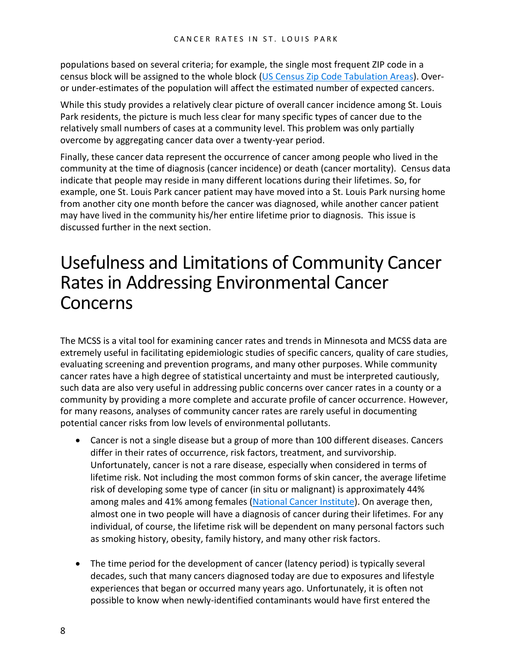populations based on several criteria; for example, the single most frequent ZIP code in a census block will be assigned to the whole block [\(US Census Zip Code Tabulation Areas\)](http://www.census.gov/geo/reference/zctas.html). Overor under-estimates of the population will affect the estimated number of expected cancers.

While this study provides a relatively clear picture of overall cancer incidence among St. Louis Park residents, the picture is much less clear for many specific types of cancer due to the relatively small numbers of cases at a community level. This problem was only partially overcome by aggregating cancer data over a twenty-year period.

Finally, these cancer data represent the occurrence of cancer among people who lived in the community at the time of diagnosis (cancer incidence) or death (cancer mortality). Census data indicate that people may reside in many different locations during their lifetimes. So, for example, one St. Louis Park cancer patient may have moved into a St. Louis Park nursing home from another city one month before the cancer was diagnosed, while another cancer patient may have lived in the community his/her entire lifetime prior to diagnosis. This issue is discussed further in the next section.

### Usefulness and Limitations of Community Cancer Rates in Addressing Environmental Cancer Concerns

The MCSS is a vital tool for examining cancer rates and trends in Minnesota and MCSS data are extremely useful in facilitating epidemiologic studies of specific cancers, quality of care studies, evaluating screening and prevention programs, and many other purposes. While community cancer rates have a high degree of statistical uncertainty and must be interpreted cautiously, such data are also very useful in addressing public concerns over cancer rates in a county or a community by providing a more complete and accurate profile of cancer occurrence. However, for many reasons, analyses of community cancer rates are rarely useful in documenting potential cancer risks from low levels of environmental pollutants.

- Cancer is not a single disease but a group of more than 100 different diseases. Cancers differ in their rates of occurrence, risk factors, treatment, and survivorship. Unfortunately, cancer is not a rare disease, especially when considered in terms of lifetime risk. Not including the most common forms of skin cancer, the average lifetime risk of developing some type of cancer (in situ or malignant) is approximately 44% among males and 41% among females [\(National Cancer Institute\)](http://surveillance.cancer.gov/devcan/canques.html). On average then, almost one in two people will have a diagnosis of cancer during their lifetimes. For any individual, of course, the lifetime risk will be dependent on many personal factors such as smoking history, obesity, family history, and many other risk factors.
- The time period for the development of cancer (latency period) is typically several decades, such that many cancers diagnosed today are due to exposures and lifestyle experiences that began or occurred many years ago. Unfortunately, it is often not possible to know when newly-identified contaminants would have first entered the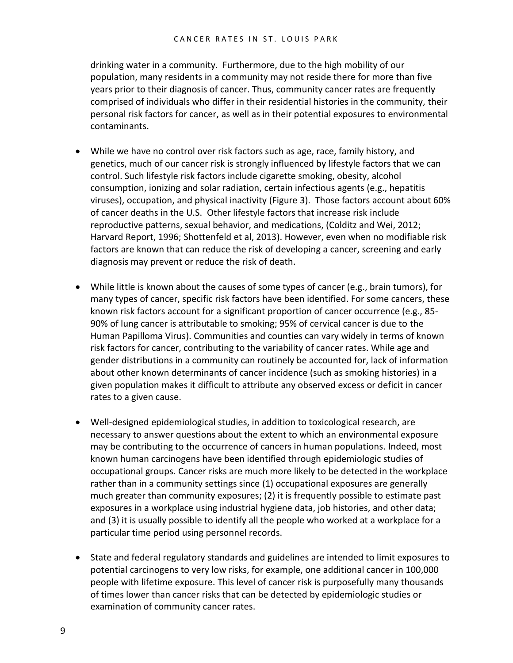drinking water in a community. Furthermore, due to the high mobility of our population, many residents in a community may not reside there for more than five years prior to their diagnosis of cancer. Thus, community cancer rates are frequently comprised of individuals who differ in their residential histories in the community, their personal risk factors for cancer, as well as in their potential exposures to environmental contaminants.

- While we have no control over risk factors such as age, race, family history, and genetics, much of our cancer risk is strongly influenced by lifestyle factors that we can control. Such lifestyle risk factors include cigarette smoking, obesity, alcohol consumption, ionizing and solar radiation, certain infectious agents (e.g., hepatitis viruses), occupation, and physical inactivity (Figure 3). Those factors account about 60% of cancer deaths in the U.S. Other lifestyle factors that increase risk include reproductive patterns, sexual behavior, and medications, (Colditz and Wei, 2012; Harvard Report, 1996; Shottenfeld et al, 2013). However, even when no modifiable risk factors are known that can reduce the risk of developing a cancer, screening and early diagnosis may prevent or reduce the risk of death.
- While little is known about the causes of some types of cancer (e.g., brain tumors), for many types of cancer, specific risk factors have been identified. For some cancers, these known risk factors account for a significant proportion of cancer occurrence (e.g., 85- 90% of lung cancer is attributable to smoking; 95% of cervical cancer is due to the Human Papilloma Virus). Communities and counties can vary widely in terms of known risk factors for cancer, contributing to the variability of cancer rates. While age and gender distributions in a community can routinely be accounted for, lack of information about other known determinants of cancer incidence (such as smoking histories) in a given population makes it difficult to attribute any observed excess or deficit in cancer rates to a given cause.
- Well-designed epidemiological studies, in addition to toxicological research, are necessary to answer questions about the extent to which an environmental exposure may be contributing to the occurrence of cancers in human populations. Indeed, most known human carcinogens have been identified through epidemiologic studies of occupational groups. Cancer risks are much more likely to be detected in the workplace rather than in a community settings since (1) occupational exposures are generally much greater than community exposures; (2) it is frequently possible to estimate past exposures in a workplace using industrial hygiene data, job histories, and other data; and (3) it is usually possible to identify all the people who worked at a workplace for a particular time period using personnel records.
- State and federal regulatory standards and guidelines are intended to limit exposures to potential carcinogens to very low risks, for example, one additional cancer in 100,000 people with lifetime exposure. This level of cancer risk is purposefully many thousands of times lower than cancer risks that can be detected by epidemiologic studies or examination of community cancer rates.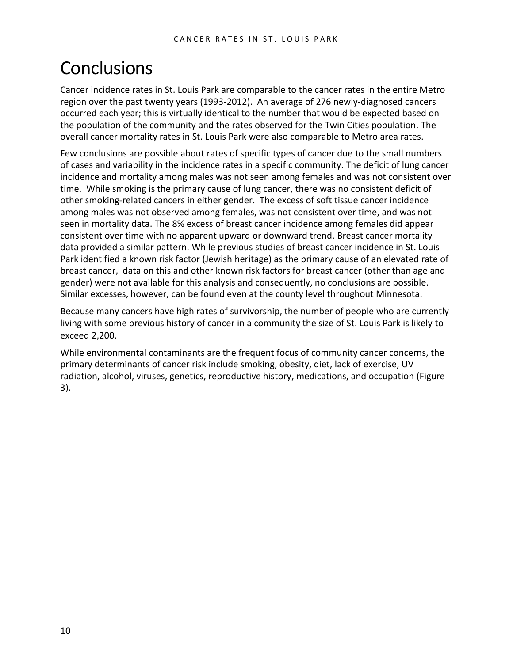## **Conclusions**

Cancer incidence rates in St. Louis Park are comparable to the cancer rates in the entire Metro region over the past twenty years (1993-2012). An average of 276 newly-diagnosed cancers occurred each year; this is virtually identical to the number that would be expected based on the population of the community and the rates observed for the Twin Cities population. The overall cancer mortality rates in St. Louis Park were also comparable to Metro area rates.

Few conclusions are possible about rates of specific types of cancer due to the small numbers of cases and variability in the incidence rates in a specific community. The deficit of lung cancer incidence and mortality among males was not seen among females and was not consistent over time. While smoking is the primary cause of lung cancer, there was no consistent deficit of other smoking-related cancers in either gender. The excess of soft tissue cancer incidence among males was not observed among females, was not consistent over time, and was not seen in mortality data. The 8% excess of breast cancer incidence among females did appear consistent over time with no apparent upward or downward trend. Breast cancer mortality data provided a similar pattern. While previous studies of breast cancer incidence in St. Louis Park identified a known risk factor (Jewish heritage) as the primary cause of an elevated rate of breast cancer, data on this and other known risk factors for breast cancer (other than age and gender) were not available for this analysis and consequently, no conclusions are possible. Similar excesses, however, can be found even at the county level throughout Minnesota.

Because many cancers have high rates of survivorship, the number of people who are currently living with some previous history of cancer in a community the size of St. Louis Park is likely to exceed 2,200.

While environmental contaminants are the frequent focus of community cancer concerns, the primary determinants of cancer risk include smoking, obesity, diet, lack of exercise, UV radiation, alcohol, viruses, genetics, reproductive history, medications, and occupation (Figure 3).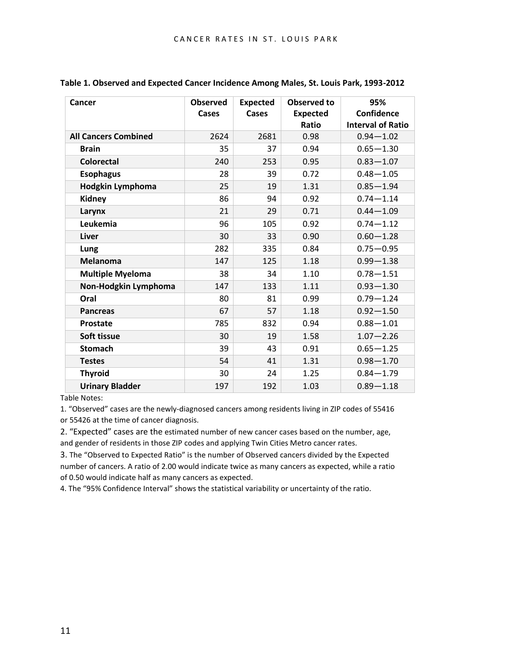| Cancer                      | <b>Observed</b> | <b>Expected</b> | <b>Observed to</b> | 95%                      |
|-----------------------------|-----------------|-----------------|--------------------|--------------------------|
|                             | Cases           | <b>Cases</b>    | <b>Expected</b>    | Confidence               |
|                             |                 |                 | Ratio              | <b>Interval of Ratio</b> |
| <b>All Cancers Combined</b> | 2624            | 2681            | 0.98               | $0.94 - 1.02$            |
| <b>Brain</b>                | 35              | 37              | 0.94               | $0.65 - 1.30$            |
| <b>Colorectal</b>           | 240             | 253             | 0.95               | $0.83 - 1.07$            |
| <b>Esophagus</b>            | 28              | 39              | 0.72               | $0.48 - 1.05$            |
| Hodgkin Lymphoma            | 25              | 19              | 1.31               | $0.85 - 1.94$            |
| <b>Kidney</b>               | 86              | 94              | 0.92               | $0.74 - 1.14$            |
| Larynx                      | 21              | 29              | 0.71               | $0.44 - 1.09$            |
| Leukemia                    | 96              | 105             | 0.92               | $0.74 - 1.12$            |
| Liver                       | 30              | 33              | 0.90               | $0.60 - 1.28$            |
| Lung                        | 282             | 335             | 0.84               | $0.75 - 0.95$            |
| <b>Melanoma</b>             | 147             | 125             | 1.18               | $0.99 - 1.38$            |
| <b>Multiple Myeloma</b>     | 38              | 34              | 1.10               | $0.78 - 1.51$            |
| Non-Hodgkin Lymphoma        | 147             | 133             | 1.11               | $0.93 - 1.30$            |
| Oral                        | 80              | 81              | 0.99               | $0.79 - 1.24$            |
| <b>Pancreas</b>             | 67              | 57              | 1.18               | $0.92 - 1.50$            |
| <b>Prostate</b>             | 785             | 832             | 0.94               | $0.88 - 1.01$            |
| Soft tissue                 | 30              | 19              | 1.58               | $1.07 - 2.26$            |
| <b>Stomach</b>              | 39              | 43              | 0.91               | $0.65 - 1.25$            |
| <b>Testes</b>               | 54              | 41              | 1.31               | $0.98 - 1.70$            |
| <b>Thyroid</b>              | 30              | 24              | 1.25               | $0.84 - 1.79$            |
| <b>Urinary Bladder</b>      | 197             | 192             | 1.03               | $0.89 - 1.18$            |

**Table 1. Observed and Expected Cancer Incidence Among Males, St. Louis Park, 1993-2012**

Table Notes:

1. "Observed" cases are the newly-diagnosed cancers among residents living in ZIP codes of 55416 or 55426 at the time of cancer diagnosis.

2. "Expected" cases are the estimated number of new cancer cases based on the number, age, and gender of residents in those ZIP codes and applying Twin Cities Metro cancer rates.

3. The "Observed to Expected Ratio" is the number of Observed cancers divided by the Expected number of cancers. A ratio of 2.00 would indicate twice as many cancers as expected, while a ratio of 0.50 would indicate half as many cancers as expected.

4. The "95% Confidence Interval" shows the statistical variability or uncertainty of the ratio.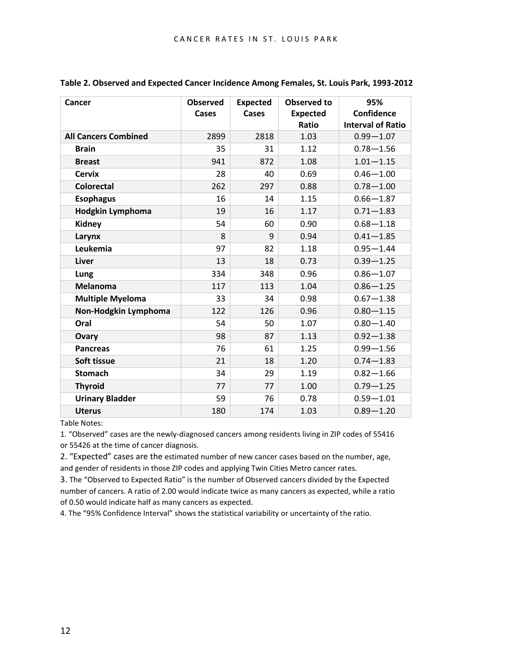| Cancer                      | <b>Observed</b> | <b>Expected</b> | Observed to     | 95%                      |
|-----------------------------|-----------------|-----------------|-----------------|--------------------------|
|                             | Cases           | Cases           | <b>Expected</b> | Confidence               |
|                             |                 |                 | Ratio           | <b>Interval of Ratio</b> |
| <b>All Cancers Combined</b> | 2899            | 2818            | 1.03            | $0.99 - 1.07$            |
| <b>Brain</b>                | 35              | 31              | 1.12            | $0.78 - 1.56$            |
| <b>Breast</b>               | 941             | 872             | 1.08            | $1.01 - 1.15$            |
| <b>Cervix</b>               | 28              | 40              | 0.69            | $0.46 - 1.00$            |
| <b>Colorectal</b>           | 262             | 297             | 0.88            | $0.78 - 1.00$            |
| <b>Esophagus</b>            | 16              | 14              | 1.15            | $0.66 - 1.87$            |
| Hodgkin Lymphoma            | 19              | 16              | 1.17            | $0.71 - 1.83$            |
| <b>Kidney</b>               | 54              | 60              | 0.90            | $0.68 - 1.18$            |
| Larynx                      | 8               | 9               | 0.94            | $0.41 - 1.85$            |
| Leukemia                    | 97              | 82              | 1.18            | $0.95 - 1.44$            |
| Liver                       | 13              | 18              | 0.73            | $0.39 - 1.25$            |
| Lung                        | 334             | 348             | 0.96            | $0.86 - 1.07$            |
| <b>Melanoma</b>             | 117             | 113             | 1.04            | $0.86 - 1.25$            |
| <b>Multiple Myeloma</b>     | 33              | 34              | 0.98            | $0.67 - 1.38$            |
| Non-Hodgkin Lymphoma        | 122             | 126             | 0.96            | $0.80 - 1.15$            |
| Oral                        | 54              | 50              | 1.07            | $0.80 - 1.40$            |
| <b>Ovary</b>                | 98              | 87              | 1.13            | $0.92 - 1.38$            |
| <b>Pancreas</b>             | 76              | 61              | 1.25            | $0.99 - 1.56$            |
| Soft tissue                 | 21              | 18              | 1.20            | $0.74 - 1.83$            |
| <b>Stomach</b>              | 34              | 29              | 1.19            | $0.82 - 1.66$            |
| <b>Thyroid</b>              | 77              | 77              | 1.00            | $0.79 - 1.25$            |
| <b>Urinary Bladder</b>      | 59              | 76              | 0.78            | $0.59 - 1.01$            |
| <b>Uterus</b>               | 180             | 174             | 1.03            | $0.89 - 1.20$            |

**Table 2. Observed and Expected Cancer Incidence Among Females, St. Louis Park, 1993-2012**

Table Notes:

1. "Observed" cases are the newly-diagnosed cancers among residents living in ZIP codes of 55416 or 55426 at the time of cancer diagnosis.

2. "Expected" cases are the estimated number of new cancer cases based on the number, age, and gender of residents in those ZIP codes and applying Twin Cities Metro cancer rates.

3. The "Observed to Expected Ratio" is the number of Observed cancers divided by the Expected number of cancers. A ratio of 2.00 would indicate twice as many cancers as expected, while a ratio of 0.50 would indicate half as many cancers as expected.

4. The "95% Confidence Interval" shows the statistical variability or uncertainty of the ratio.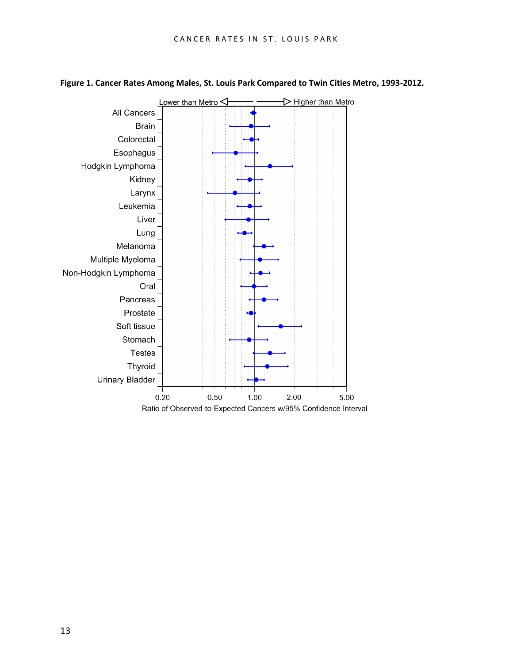

#### **Figure 1. Cancer Rates Among Males, St. Louis Park Compared to Twin Cities Metro, 1993-2012.**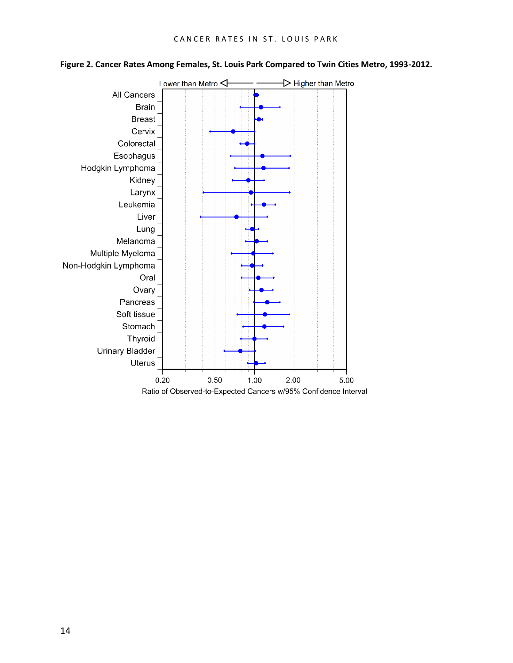

#### **Figure 2. Cancer Rates Among Females, St. Louis Park Compared to Twin Cities Metro, 1993-2012.**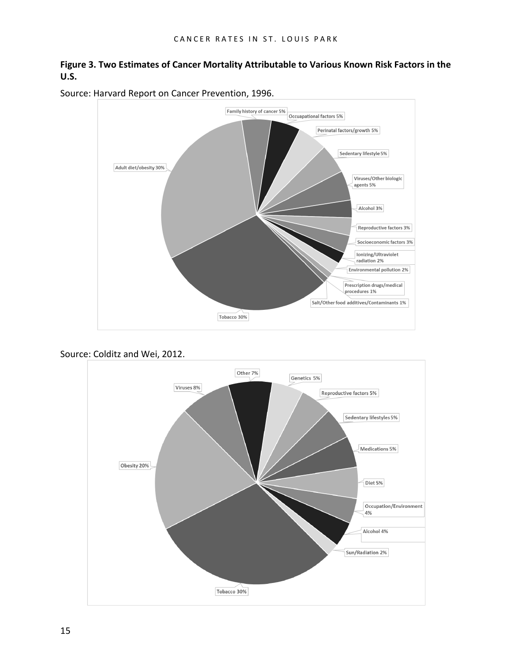#### **Figure 3. Two Estimates of Cancer Mortality Attributable to Various Known Risk Factors in the U.S.**



Source: Harvard Report on Cancer Prevention, 1996.

Source: Colditz and Wei, 2012.

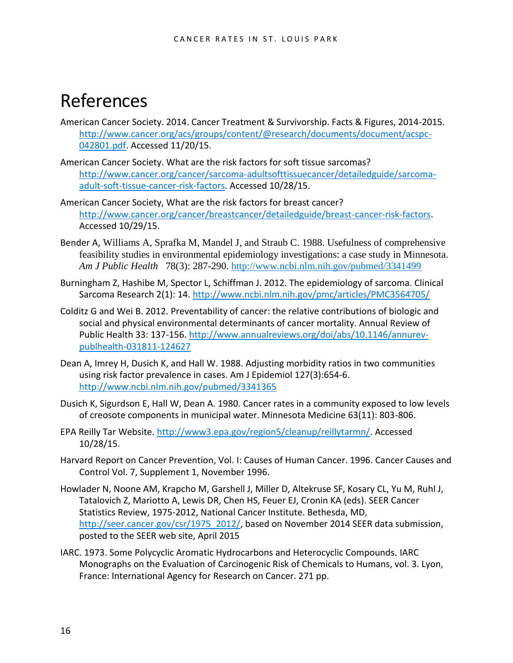### References

- American Cancer Society. 2014. Cancer Treatment & Survivorship. Facts & Figures, 2014-2015. [http://www.cancer.org/acs/groups/content/@research/documents/document/acspc-](http://www.cancer.org/acs/groups/content/@research/documents/document/acspc-042801.pdf)[042801.pdf.](http://www.cancer.org/acs/groups/content/@research/documents/document/acspc-042801.pdf) Accessed 11/20/15.
- American Cancer Society. What are the risk factors for soft tissue sarcomas? [http://www.cancer.org/cancer/sarcoma-adultsofttissuecancer/detailedguide/sarcoma](http://www.cancer.org/cancer/sarcoma-adultsofttissuecancer/detailedguide/sarcoma-adult-soft-tissue-cancer-risk-factors)[adult-soft-tissue-cancer-risk-factors.](http://www.cancer.org/cancer/sarcoma-adultsofttissuecancer/detailedguide/sarcoma-adult-soft-tissue-cancer-risk-factors) Accessed 10/28/15.
- American Cancer Society, What are the risk factors for breast cancer? [http://www.cancer.org/cancer/breastcancer/detailedguide/breast-cancer-risk-factors.](http://www.cancer.org/cancer/breastcancer/detailedguide/breast-cancer-risk-factors) Accessed 10/29/15.
- Bender A, Williams A, Sprafka M, Mandel J, and Straub C. 1988. Usefulness of comprehensive feasibility studies in environmental epidemiology investigations: a case study in Minnesota. *Am J Public Health* 78(3): 287-290.<http://www.ncbi.nlm.nih.gov/pubmed/3341499>
- Burningham Z, Hashibe M, Spector L, Schiffman J. 2012. The epidemiology of sarcoma. Clinical Sarcoma Research 2(1): 14. <http://www.ncbi.nlm.nih.gov/pmc/articles/PMC3564705/>
- Colditz G and Wei B. 2012. Preventability of cancer: the relative contributions of biologic and social and physical environmental determinants of cancer mortality. Annual Review of Public Health 33: 137-156. [http://www.annualreviews.org/doi/abs/10.1146/annurev](http://www.annualreviews.org/doi/abs/10.1146/annurev-publhealth-031811-124627)[publhealth-031811-124627](http://www.annualreviews.org/doi/abs/10.1146/annurev-publhealth-031811-124627)
- Dean A, Imrey H, Dusich K, and Hall W. 1988. Adjusting morbidity ratios in two communities using risk factor prevalence in cases. Am J Epidemiol 127(3):654-6. <http://www.ncbi.nlm.nih.gov/pubmed/3341365>
- Dusich K, Sigurdson E, Hall W, Dean A. 1980. Cancer rates in a community exposed to low levels of creosote components in municipal water. Minnesota Medicine 63(11): 803-806.
- EPA Reilly Tar Website. [http://www3.epa.gov/region5/cleanup/reillytarmn/.](http://www3.epa.gov/region5/cleanup/reillytarmn/) Accessed 10/28/15.
- Harvard Report on Cancer Prevention, Vol. I: Causes of Human Cancer. 1996. Cancer Causes and Control Vol. 7, Supplement 1, November 1996.
- Howlader N, Noone AM, Krapcho M, Garshell J, Miller D, Altekruse SF, Kosary CL, Yu M, Ruhl J, Tatalovich Z, Mariotto A, Lewis DR, Chen HS, Feuer EJ, Cronin KA (eds). SEER Cancer Statistics Review, 1975-2012, National Cancer Institute. Bethesda, MD, [http://seer.cancer.gov/csr/1975\\_2012/,](http://seer.cancer.gov/csr/1975_2012/) based on November 2014 SEER data submission, posted to the SEER web site, April 2015
- IARC. 1973. Some Polycyclic Aromatic Hydrocarbons and Heterocyclic Compounds. IARC Monographs on the Evaluation of Carcinogenic Risk of Chemicals to Humans, vol. 3. Lyon, France: International Agency for Research on Cancer. 271 pp.